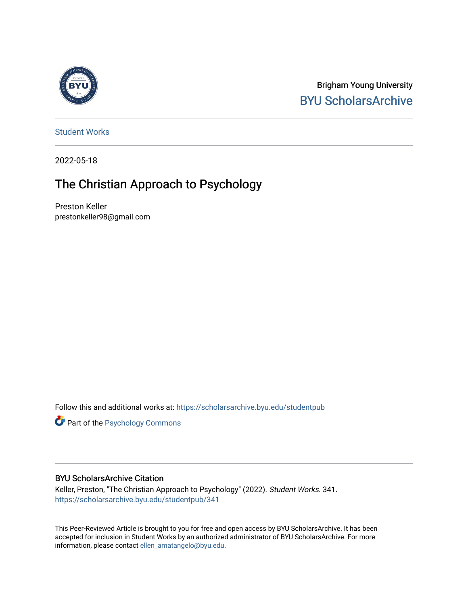

Brigham Young University [BYU ScholarsArchive](https://scholarsarchive.byu.edu/) 

[Student Works](https://scholarsarchive.byu.edu/studentpub)

2022-05-18

# The Christian Approach to Psychology

Preston Keller prestonkeller98@gmail.com

Follow this and additional works at: [https://scholarsarchive.byu.edu/studentpub](https://scholarsarchive.byu.edu/studentpub?utm_source=scholarsarchive.byu.edu%2Fstudentpub%2F341&utm_medium=PDF&utm_campaign=PDFCoverPages)

Part of the [Psychology Commons](https://network.bepress.com/hgg/discipline/404?utm_source=scholarsarchive.byu.edu%2Fstudentpub%2F341&utm_medium=PDF&utm_campaign=PDFCoverPages) 

# BYU ScholarsArchive Citation

Keller, Preston, "The Christian Approach to Psychology" (2022). Student Works. 341. [https://scholarsarchive.byu.edu/studentpub/341](https://scholarsarchive.byu.edu/studentpub/341?utm_source=scholarsarchive.byu.edu%2Fstudentpub%2F341&utm_medium=PDF&utm_campaign=PDFCoverPages)

This Peer-Reviewed Article is brought to you for free and open access by BYU ScholarsArchive. It has been accepted for inclusion in Student Works by an authorized administrator of BYU ScholarsArchive. For more information, please contact [ellen\\_amatangelo@byu.edu.](mailto:ellen_amatangelo@byu.edu)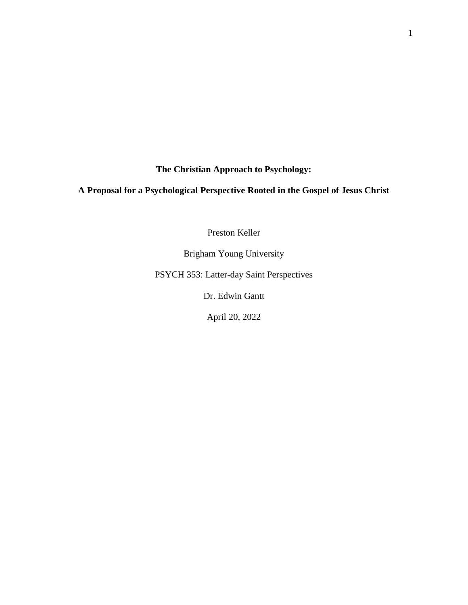**The Christian Approach to Psychology:**

# **A Proposal for a Psychological Perspective Rooted in the Gospel of Jesus Christ**

Preston Keller

Brigham Young University

PSYCH 353: Latter-day Saint Perspectives

Dr. Edwin Gantt

April 20, 2022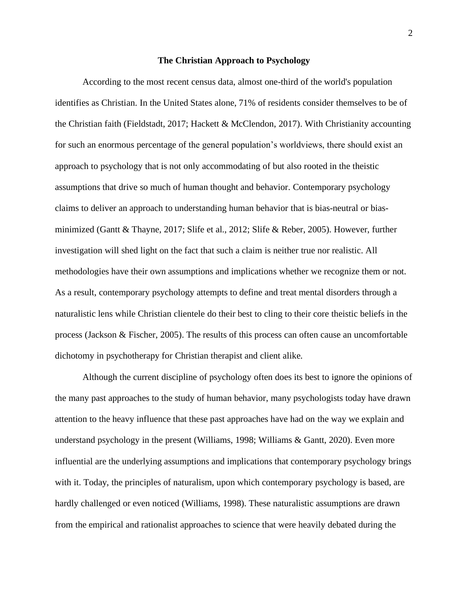#### **The Christian Approach to Psychology**

According to the most recent census data, almost one-third of the world's population identifies as Christian. In the United States alone, 71% of residents consider themselves to be of the Christian faith (Fieldstadt, 2017; Hackett & McClendon, 2017). With Christianity accounting for such an enormous percentage of the general population's worldviews, there should exist an approach to psychology that is not only accommodating of but also rooted in the theistic assumptions that drive so much of human thought and behavior. Contemporary psychology claims to deliver an approach to understanding human behavior that is bias-neutral or biasminimized (Gantt & Thayne, 2017; Slife et al., 2012; Slife & Reber, 2005). However, further investigation will shed light on the fact that such a claim is neither true nor realistic. All methodologies have their own assumptions and implications whether we recognize them or not. As a result, contemporary psychology attempts to define and treat mental disorders through a naturalistic lens while Christian clientele do their best to cling to their core theistic beliefs in the process (Jackson & Fischer, 2005). The results of this process can often cause an uncomfortable dichotomy in psychotherapy for Christian therapist and client alike.

Although the current discipline of psychology often does its best to ignore the opinions of the many past approaches to the study of human behavior, many psychologists today have drawn attention to the heavy influence that these past approaches have had on the way we explain and understand psychology in the present (Williams, 1998; Williams & Gantt, 2020). Even more influential are the underlying assumptions and implications that contemporary psychology brings with it. Today, the principles of naturalism, upon which contemporary psychology is based, are hardly challenged or even noticed (Williams, 1998). These naturalistic assumptions are drawn from the empirical and rationalist approaches to science that were heavily debated during the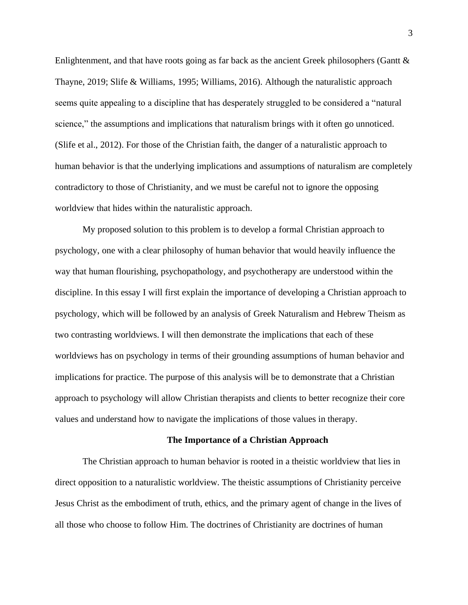Enlightenment, and that have roots going as far back as the ancient Greek philosophers (Gantt & Thayne, 2019; Slife & Williams, 1995; Williams, 2016). Although the naturalistic approach seems quite appealing to a discipline that has desperately struggled to be considered a "natural science," the assumptions and implications that naturalism brings with it often go unnoticed. (Slife et al., 2012). For those of the Christian faith, the danger of a naturalistic approach to human behavior is that the underlying implications and assumptions of naturalism are completely contradictory to those of Christianity, and we must be careful not to ignore the opposing worldview that hides within the naturalistic approach.

My proposed solution to this problem is to develop a formal Christian approach to psychology, one with a clear philosophy of human behavior that would heavily influence the way that human flourishing, psychopathology, and psychotherapy are understood within the discipline. In this essay I will first explain the importance of developing a Christian approach to psychology, which will be followed by an analysis of Greek Naturalism and Hebrew Theism as two contrasting worldviews. I will then demonstrate the implications that each of these worldviews has on psychology in terms of their grounding assumptions of human behavior and implications for practice. The purpose of this analysis will be to demonstrate that a Christian approach to psychology will allow Christian therapists and clients to better recognize their core values and understand how to navigate the implications of those values in therapy.

# **The Importance of a Christian Approach**

The Christian approach to human behavior is rooted in a theistic worldview that lies in direct opposition to a naturalistic worldview. The theistic assumptions of Christianity perceive Jesus Christ as the embodiment of truth, ethics, and the primary agent of change in the lives of all those who choose to follow Him. The doctrines of Christianity are doctrines of human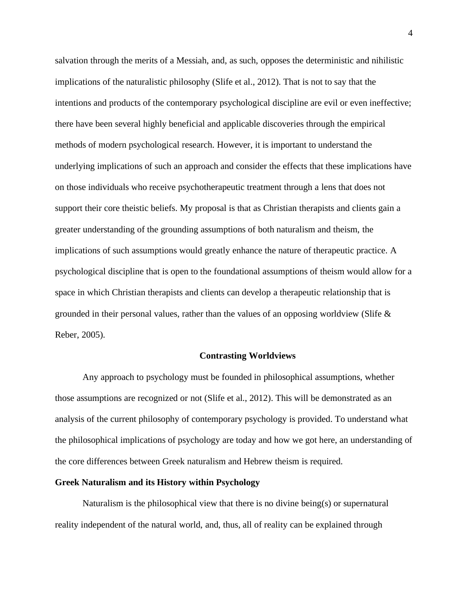salvation through the merits of a Messiah, and, as such, opposes the deterministic and nihilistic implications of the naturalistic philosophy (Slife et al., 2012). That is not to say that the intentions and products of the contemporary psychological discipline are evil or even ineffective; there have been several highly beneficial and applicable discoveries through the empirical methods of modern psychological research. However, it is important to understand the underlying implications of such an approach and consider the effects that these implications have on those individuals who receive psychotherapeutic treatment through a lens that does not support their core theistic beliefs. My proposal is that as Christian therapists and clients gain a greater understanding of the grounding assumptions of both naturalism and theism, the implications of such assumptions would greatly enhance the nature of therapeutic practice. A psychological discipline that is open to the foundational assumptions of theism would allow for a space in which Christian therapists and clients can develop a therapeutic relationship that is grounded in their personal values, rather than the values of an opposing worldview (Slife  $\&$ Reber, 2005).

#### **Contrasting Worldviews**

Any approach to psychology must be founded in philosophical assumptions, whether those assumptions are recognized or not (Slife et al., 2012). This will be demonstrated as an analysis of the current philosophy of contemporary psychology is provided. To understand what the philosophical implications of psychology are today and how we got here, an understanding of the core differences between Greek naturalism and Hebrew theism is required.

# **Greek Naturalism and its History within Psychology**

Naturalism is the philosophical view that there is no divine being(s) or supernatural reality independent of the natural world, and, thus, all of reality can be explained through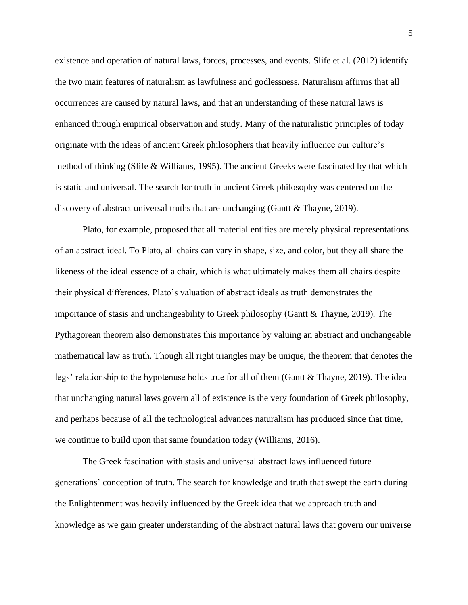existence and operation of natural laws, forces, processes, and events. Slife et al. (2012) identify the two main features of naturalism as lawfulness and godlessness. Naturalism affirms that all occurrences are caused by natural laws, and that an understanding of these natural laws is enhanced through empirical observation and study. Many of the naturalistic principles of today originate with the ideas of ancient Greek philosophers that heavily influence our culture's method of thinking (Slife & Williams, 1995). The ancient Greeks were fascinated by that which is static and universal. The search for truth in ancient Greek philosophy was centered on the discovery of abstract universal truths that are unchanging (Gantt & Thayne, 2019).

Plato, for example, proposed that all material entities are merely physical representations of an abstract ideal. To Plato, all chairs can vary in shape, size, and color, but they all share the likeness of the ideal essence of a chair, which is what ultimately makes them all chairs despite their physical differences. Plato's valuation of abstract ideals as truth demonstrates the importance of stasis and unchangeability to Greek philosophy (Gantt & Thayne, 2019). The Pythagorean theorem also demonstrates this importance by valuing an abstract and unchangeable mathematical law as truth. Though all right triangles may be unique, the theorem that denotes the legs' relationship to the hypotenuse holds true for all of them (Gantt & Thayne, 2019). The idea that unchanging natural laws govern all of existence is the very foundation of Greek philosophy, and perhaps because of all the technological advances naturalism has produced since that time, we continue to build upon that same foundation today (Williams, 2016).

The Greek fascination with stasis and universal abstract laws influenced future generations' conception of truth. The search for knowledge and truth that swept the earth during the Enlightenment was heavily influenced by the Greek idea that we approach truth and knowledge as we gain greater understanding of the abstract natural laws that govern our universe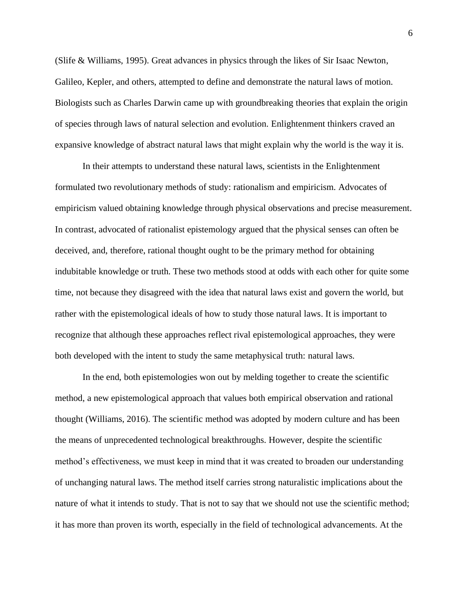(Slife & Williams, 1995). Great advances in physics through the likes of Sir Isaac Newton, Galileo, Kepler, and others, attempted to define and demonstrate the natural laws of motion. Biologists such as Charles Darwin came up with groundbreaking theories that explain the origin of species through laws of natural selection and evolution. Enlightenment thinkers craved an expansive knowledge of abstract natural laws that might explain why the world is the way it is.

In their attempts to understand these natural laws, scientists in the Enlightenment formulated two revolutionary methods of study: rationalism and empiricism. Advocates of empiricism valued obtaining knowledge through physical observations and precise measurement. In contrast, advocated of rationalist epistemology argued that the physical senses can often be deceived, and, therefore, rational thought ought to be the primary method for obtaining indubitable knowledge or truth. These two methods stood at odds with each other for quite some time, not because they disagreed with the idea that natural laws exist and govern the world, but rather with the epistemological ideals of how to study those natural laws. It is important to recognize that although these approaches reflect rival epistemological approaches, they were both developed with the intent to study the same metaphysical truth: natural laws.

In the end, both epistemologies won out by melding together to create the scientific method, a new epistemological approach that values both empirical observation and rational thought (Williams, 2016). The scientific method was adopted by modern culture and has been the means of unprecedented technological breakthroughs. However, despite the scientific method's effectiveness, we must keep in mind that it was created to broaden our understanding of unchanging natural laws. The method itself carries strong naturalistic implications about the nature of what it intends to study. That is not to say that we should not use the scientific method; it has more than proven its worth, especially in the field of technological advancements. At the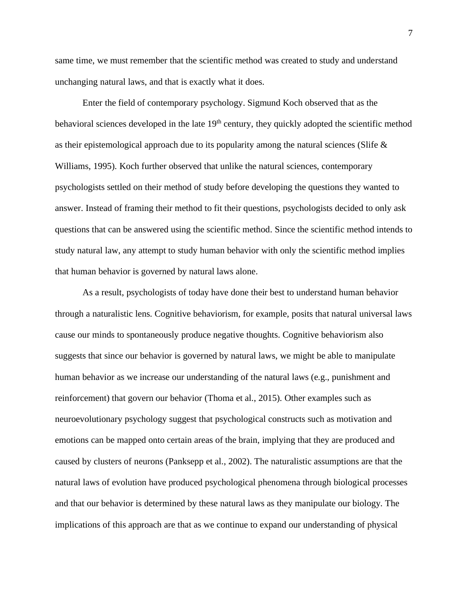same time, we must remember that the scientific method was created to study and understand unchanging natural laws, and that is exactly what it does.

Enter the field of contemporary psychology. Sigmund Koch observed that as the behavioral sciences developed in the late 19<sup>th</sup> century, they quickly adopted the scientific method as their epistemological approach due to its popularity among the natural sciences (Slife  $\&$ Williams, 1995). Koch further observed that unlike the natural sciences, contemporary psychologists settled on their method of study before developing the questions they wanted to answer. Instead of framing their method to fit their questions, psychologists decided to only ask questions that can be answered using the scientific method. Since the scientific method intends to study natural law, any attempt to study human behavior with only the scientific method implies that human behavior is governed by natural laws alone.

As a result, psychologists of today have done their best to understand human behavior through a naturalistic lens. Cognitive behaviorism, for example, posits that natural universal laws cause our minds to spontaneously produce negative thoughts. Cognitive behaviorism also suggests that since our behavior is governed by natural laws, we might be able to manipulate human behavior as we increase our understanding of the natural laws (e.g., punishment and reinforcement) that govern our behavior (Thoma et al., 2015). Other examples such as neuroevolutionary psychology suggest that psychological constructs such as motivation and emotions can be mapped onto certain areas of the brain, implying that they are produced and caused by clusters of neurons (Panksepp et al., 2002). The naturalistic assumptions are that the natural laws of evolution have produced psychological phenomena through biological processes and that our behavior is determined by these natural laws as they manipulate our biology. The implications of this approach are that as we continue to expand our understanding of physical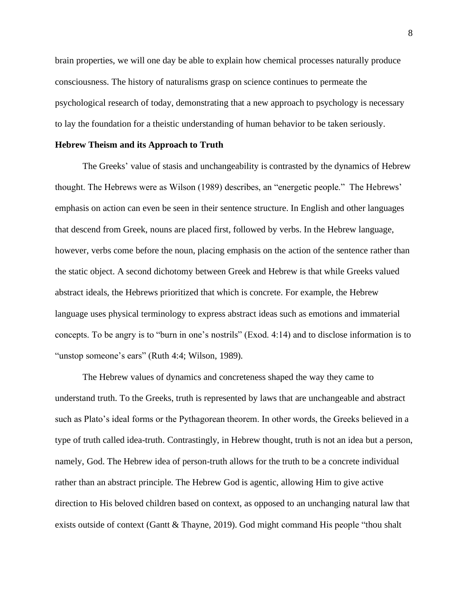brain properties, we will one day be able to explain how chemical processes naturally produce consciousness. The history of naturalisms grasp on science continues to permeate the psychological research of today, demonstrating that a new approach to psychology is necessary to lay the foundation for a theistic understanding of human behavior to be taken seriously.

# **Hebrew Theism and its Approach to Truth**

The Greeks' value of stasis and unchangeability is contrasted by the dynamics of Hebrew thought. The Hebrews were as Wilson (1989) describes, an "energetic people." The Hebrews' emphasis on action can even be seen in their sentence structure. In English and other languages that descend from Greek, nouns are placed first, followed by verbs. In the Hebrew language, however, verbs come before the noun, placing emphasis on the action of the sentence rather than the static object. A second dichotomy between Greek and Hebrew is that while Greeks valued abstract ideals, the Hebrews prioritized that which is concrete. For example, the Hebrew language uses physical terminology to express abstract ideas such as emotions and immaterial concepts. To be angry is to "burn in one's nostrils" (Exod. 4:14) and to disclose information is to "unstop someone's ears" (Ruth 4:4; Wilson, 1989).

The Hebrew values of dynamics and concreteness shaped the way they came to understand truth. To the Greeks, truth is represented by laws that are unchangeable and abstract such as Plato's ideal forms or the Pythagorean theorem. In other words, the Greeks believed in a type of truth called idea-truth. Contrastingly, in Hebrew thought, truth is not an idea but a person, namely, God. The Hebrew idea of person-truth allows for the truth to be a concrete individual rather than an abstract principle. The Hebrew God is agentic, allowing Him to give active direction to His beloved children based on context, as opposed to an unchanging natural law that exists outside of context (Gantt & Thayne, 2019). God might command His people "thou shalt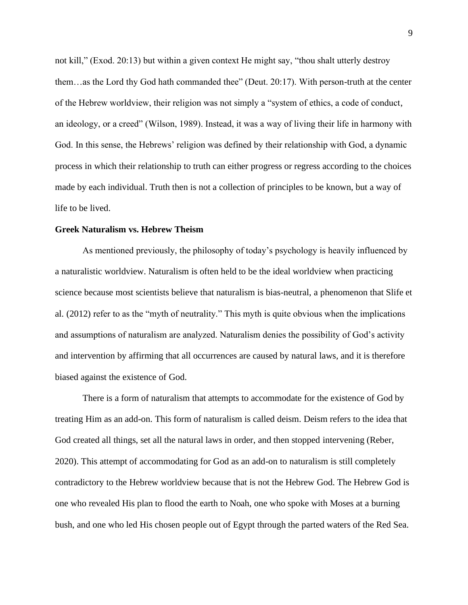not kill," (Exod. 20:13) but within a given context He might say, "thou shalt utterly destroy them…as the Lord thy God hath commanded thee" (Deut. 20:17). With person-truth at the center of the Hebrew worldview, their religion was not simply a "system of ethics, a code of conduct, an ideology, or a creed" (Wilson, 1989). Instead, it was a way of living their life in harmony with God. In this sense, the Hebrews' religion was defined by their relationship with God, a dynamic process in which their relationship to truth can either progress or regress according to the choices made by each individual. Truth then is not a collection of principles to be known, but a way of life to be lived.

# **Greek Naturalism vs. Hebrew Theism**

As mentioned previously, the philosophy of today's psychology is heavily influenced by a naturalistic worldview. Naturalism is often held to be the ideal worldview when practicing science because most scientists believe that naturalism is bias-neutral, a phenomenon that Slife et al. (2012) refer to as the "myth of neutrality." This myth is quite obvious when the implications and assumptions of naturalism are analyzed. Naturalism denies the possibility of God's activity and intervention by affirming that all occurrences are caused by natural laws, and it is therefore biased against the existence of God.

There is a form of naturalism that attempts to accommodate for the existence of God by treating Him as an add-on. This form of naturalism is called deism. Deism refers to the idea that God created all things, set all the natural laws in order, and then stopped intervening (Reber, 2020). This attempt of accommodating for God as an add-on to naturalism is still completely contradictory to the Hebrew worldview because that is not the Hebrew God. The Hebrew God is one who revealed His plan to flood the earth to Noah, one who spoke with Moses at a burning bush, and one who led His chosen people out of Egypt through the parted waters of the Red Sea.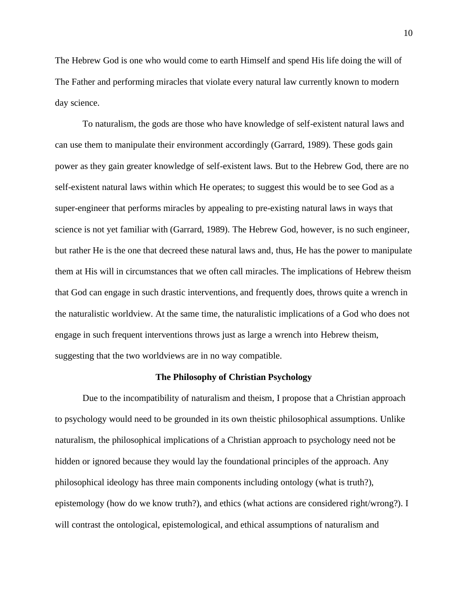The Hebrew God is one who would come to earth Himself and spend His life doing the will of The Father and performing miracles that violate every natural law currently known to modern day science.

To naturalism, the gods are those who have knowledge of self-existent natural laws and can use them to manipulate their environment accordingly (Garrard, 1989). These gods gain power as they gain greater knowledge of self-existent laws. But to the Hebrew God, there are no self-existent natural laws within which He operates; to suggest this would be to see God as a super-engineer that performs miracles by appealing to pre-existing natural laws in ways that science is not yet familiar with (Garrard, 1989). The Hebrew God, however, is no such engineer, but rather He is the one that decreed these natural laws and, thus, He has the power to manipulate them at His will in circumstances that we often call miracles. The implications of Hebrew theism that God can engage in such drastic interventions, and frequently does, throws quite a wrench in the naturalistic worldview. At the same time, the naturalistic implications of a God who does not engage in such frequent interventions throws just as large a wrench into Hebrew theism, suggesting that the two worldviews are in no way compatible.

#### **The Philosophy of Christian Psychology**

Due to the incompatibility of naturalism and theism, I propose that a Christian approach to psychology would need to be grounded in its own theistic philosophical assumptions. Unlike naturalism, the philosophical implications of a Christian approach to psychology need not be hidden or ignored because they would lay the foundational principles of the approach. Any philosophical ideology has three main components including ontology (what is truth?), epistemology (how do we know truth?), and ethics (what actions are considered right/wrong?). I will contrast the ontological, epistemological, and ethical assumptions of naturalism and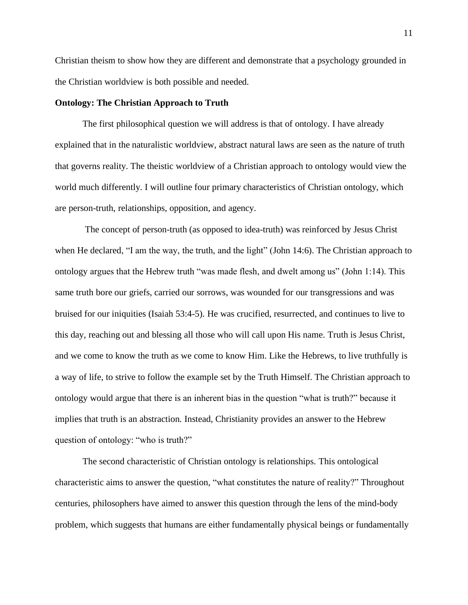Christian theism to show how they are different and demonstrate that a psychology grounded in the Christian worldview is both possible and needed.

# **Ontology: The Christian Approach to Truth**

The first philosophical question we will address is that of ontology. I have already explained that in the naturalistic worldview, abstract natural laws are seen as the nature of truth that governs reality. The theistic worldview of a Christian approach to ontology would view the world much differently. I will outline four primary characteristics of Christian ontology, which are person-truth, relationships, opposition, and agency.

The concept of person-truth (as opposed to idea-truth) was reinforced by Jesus Christ when He declared, "I am the way, the truth, and the light" (John 14:6). The Christian approach to ontology argues that the Hebrew truth "was made flesh, and dwelt among us" (John 1:14). This same truth bore our griefs, carried our sorrows, was wounded for our transgressions and was bruised for our iniquities (Isaiah 53:4-5). He was crucified, resurrected, and continues to live to this day, reaching out and blessing all those who will call upon His name. Truth is Jesus Christ, and we come to know the truth as we come to know Him. Like the Hebrews, to live truthfully is a way of life, to strive to follow the example set by the Truth Himself. The Christian approach to ontology would argue that there is an inherent bias in the question "what is truth?" because it implies that truth is an abstraction. Instead, Christianity provides an answer to the Hebrew question of ontology: "who is truth?"

The second characteristic of Christian ontology is relationships. This ontological characteristic aims to answer the question, "what constitutes the nature of reality?" Throughout centuries, philosophers have aimed to answer this question through the lens of the mind-body problem, which suggests that humans are either fundamentally physical beings or fundamentally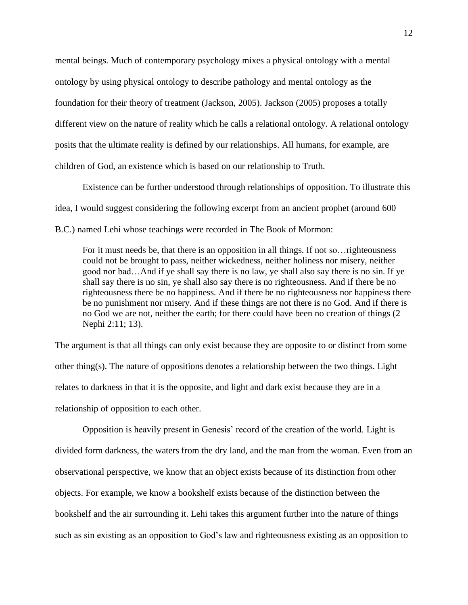mental beings. Much of contemporary psychology mixes a physical ontology with a mental ontology by using physical ontology to describe pathology and mental ontology as the foundation for their theory of treatment (Jackson, 2005). Jackson (2005) proposes a totally different view on the nature of reality which he calls a relational ontology. A relational ontology posits that the ultimate reality is defined by our relationships. All humans, for example, are children of God, an existence which is based on our relationship to Truth.

Existence can be further understood through relationships of opposition. To illustrate this idea, I would suggest considering the following excerpt from an ancient prophet (around 600 B.C.) named Lehi whose teachings were recorded in The Book of Mormon:

For it must needs be, that there is an opposition in all things. If not so…righteousness could not be brought to pass, neither wickedness, neither holiness nor misery, neither good nor bad…And if ye shall say there is no law, ye shall also say there is no sin. If ye shall say there is no sin, ye shall also say there is no righteousness. And if there be no righteousness there be no happiness. And if there be no righteousness nor happiness there be no punishment nor misery. And if these things are not there is no God. And if there is no God we are not, neither the earth; for there could have been no creation of things (2 Nephi 2:11; 13).

The argument is that all things can only exist because they are opposite to or distinct from some other thing(s). The nature of oppositions denotes a relationship between the two things. Light relates to darkness in that it is the opposite, and light and dark exist because they are in a relationship of opposition to each other.

Opposition is heavily present in Genesis' record of the creation of the world. Light is divided form darkness, the waters from the dry land, and the man from the woman. Even from an observational perspective, we know that an object exists because of its distinction from other objects. For example, we know a bookshelf exists because of the distinction between the bookshelf and the air surrounding it. Lehi takes this argument further into the nature of things such as sin existing as an opposition to God's law and righteousness existing as an opposition to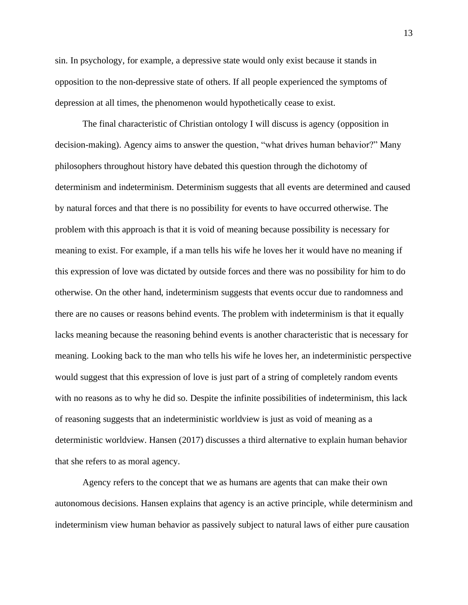sin. In psychology, for example, a depressive state would only exist because it stands in opposition to the non-depressive state of others. If all people experienced the symptoms of depression at all times, the phenomenon would hypothetically cease to exist.

The final characteristic of Christian ontology I will discuss is agency (opposition in decision-making). Agency aims to answer the question, "what drives human behavior?" Many philosophers throughout history have debated this question through the dichotomy of determinism and indeterminism. Determinism suggests that all events are determined and caused by natural forces and that there is no possibility for events to have occurred otherwise. The problem with this approach is that it is void of meaning because possibility is necessary for meaning to exist. For example, if a man tells his wife he loves her it would have no meaning if this expression of love was dictated by outside forces and there was no possibility for him to do otherwise. On the other hand, indeterminism suggests that events occur due to randomness and there are no causes or reasons behind events. The problem with indeterminism is that it equally lacks meaning because the reasoning behind events is another characteristic that is necessary for meaning. Looking back to the man who tells his wife he loves her, an indeterministic perspective would suggest that this expression of love is just part of a string of completely random events with no reasons as to why he did so. Despite the infinite possibilities of indeterminism, this lack of reasoning suggests that an indeterministic worldview is just as void of meaning as a deterministic worldview. Hansen (2017) discusses a third alternative to explain human behavior that she refers to as moral agency.

Agency refers to the concept that we as humans are agents that can make their own autonomous decisions. Hansen explains that agency is an active principle, while determinism and indeterminism view human behavior as passively subject to natural laws of either pure causation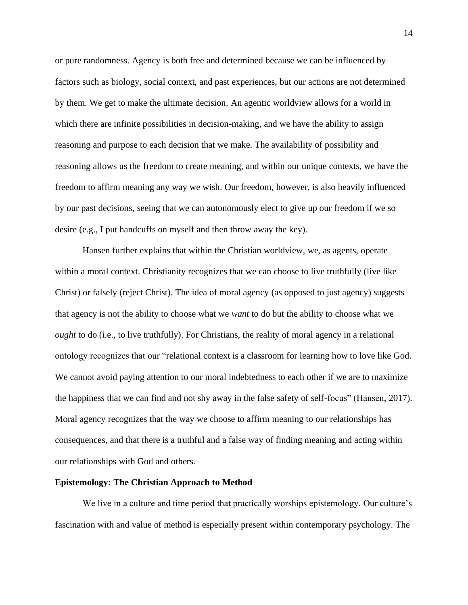or pure randomness. Agency is both free and determined because we can be influenced by factors such as biology, social context, and past experiences, but our actions are not determined by them. We get to make the ultimate decision. An agentic worldview allows for a world in which there are infinite possibilities in decision-making, and we have the ability to assign reasoning and purpose to each decision that we make. The availability of possibility and reasoning allows us the freedom to create meaning, and within our unique contexts, we have the freedom to affirm meaning any way we wish. Our freedom, however, is also heavily influenced by our past decisions, seeing that we can autonomously elect to give up our freedom if we so desire (e.g., I put handcuffs on myself and then throw away the key).

Hansen further explains that within the Christian worldview, we, as agents, operate within a moral context. Christianity recognizes that we can choose to live truthfully (live like Christ) or falsely (reject Christ). The idea of moral agency (as opposed to just agency) suggests that agency is not the ability to choose what we *want* to do but the ability to choose what we *ought* to do (i.e., to live truthfully). For Christians, the reality of moral agency in a relational ontology recognizes that our "relational context is a classroom for learning how to love like God. We cannot avoid paying attention to our moral indebtedness to each other if we are to maximize the happiness that we can find and not shy away in the false safety of self-focus" (Hansen, 2017). Moral agency recognizes that the way we choose to affirm meaning to our relationships has consequences, and that there is a truthful and a false way of finding meaning and acting within our relationships with God and others.

# **Epistemology: The Christian Approach to Method**

We live in a culture and time period that practically worships epistemology. Our culture's fascination with and value of method is especially present within contemporary psychology. The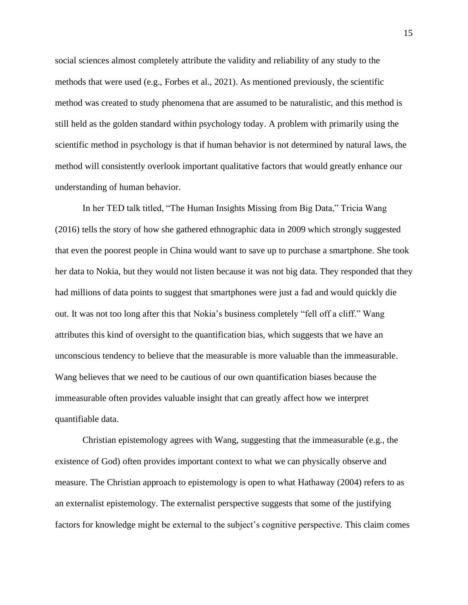social sciences almost completely attribute the validity and reliability of any study to the methods that were used (e.g., Forbes et al., 2021). As mentioned previously, the scientific method was created to study phenomena that are assumed to be naturalistic, and this method is still held as the golden standard within psychology today. A problem with primarily using the scientific method in psychology is that if human behavior is not determined by natural laws, the method will consistently overlook important qualitative factors that would greatly enhance our understanding of human behavior.

In her TED talk titled, "The Human Insights Missing from Big Data," Tricia Wang (2016) tells the story of how she gathered ethnographic data in 2009 which strongly suggested that even the poorest people in China would want to save up to purchase a smartphone. She took her data to Nokia, but they would not listen because it was not big data. They responded that they had millions of data points to suggest that smartphones were just a fad and would quickly die out. It was not too long after this that Nokia's business completely "fell off a cliff." Wang attributes this kind of oversight to the quantification bias, which suggests that we have an unconscious tendency to believe that the measurable is more valuable than the immeasurable. Wang believes that we need to be cautious of our own quantification biases because the immeasurable often provides valuable insight that can greatly affect how we interpret quantifiable data.

Christian epistemology agrees with Wang, suggesting that the immeasurable (e.g., the existence of God) often provides important context to what we can physically observe and measure. The Christian approach to epistemology is open to what Hathaway (2004) refers to as an externalist epistemology. The externalist perspective suggests that some of the justifying factors for knowledge might be external to the subject's cognitive perspective. This claim comes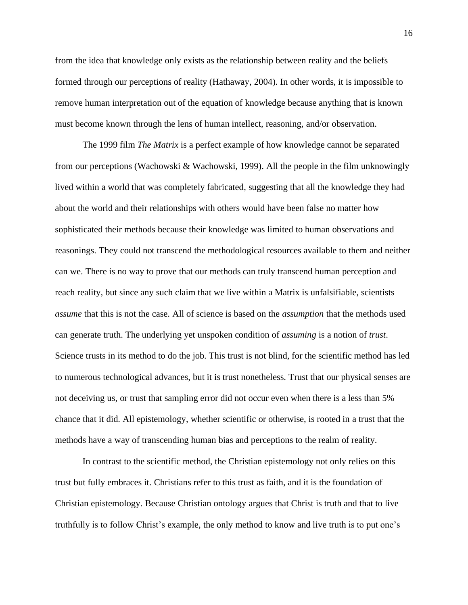from the idea that knowledge only exists as the relationship between reality and the beliefs formed through our perceptions of reality (Hathaway, 2004). In other words, it is impossible to remove human interpretation out of the equation of knowledge because anything that is known must become known through the lens of human intellect, reasoning, and/or observation.

The 1999 film *The Matrix* is a perfect example of how knowledge cannot be separated from our perceptions (Wachowski & Wachowski, 1999). All the people in the film unknowingly lived within a world that was completely fabricated, suggesting that all the knowledge they had about the world and their relationships with others would have been false no matter how sophisticated their methods because their knowledge was limited to human observations and reasonings. They could not transcend the methodological resources available to them and neither can we. There is no way to prove that our methods can truly transcend human perception and reach reality, but since any such claim that we live within a Matrix is unfalsifiable, scientists *assume* that this is not the case. All of science is based on the *assumption* that the methods used can generate truth. The underlying yet unspoken condition of *assuming* is a notion of *trust*. Science trusts in its method to do the job. This trust is not blind, for the scientific method has led to numerous technological advances, but it is trust nonetheless. Trust that our physical senses are not deceiving us, or trust that sampling error did not occur even when there is a less than 5% chance that it did. All epistemology, whether scientific or otherwise, is rooted in a trust that the methods have a way of transcending human bias and perceptions to the realm of reality.

In contrast to the scientific method, the Christian epistemology not only relies on this trust but fully embraces it. Christians refer to this trust as faith, and it is the foundation of Christian epistemology. Because Christian ontology argues that Christ is truth and that to live truthfully is to follow Christ's example, the only method to know and live truth is to put one's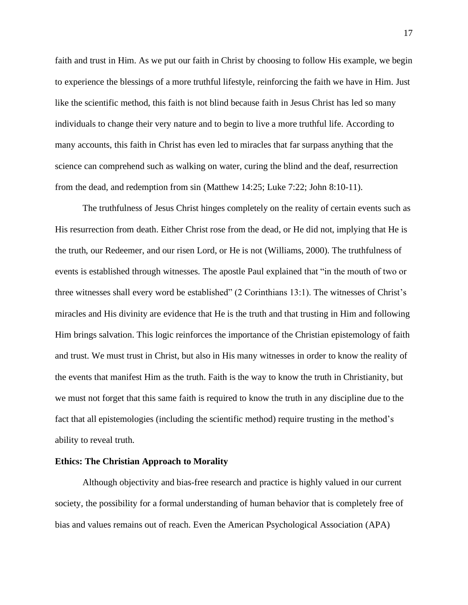faith and trust in Him. As we put our faith in Christ by choosing to follow His example, we begin to experience the blessings of a more truthful lifestyle, reinforcing the faith we have in Him. Just like the scientific method, this faith is not blind because faith in Jesus Christ has led so many individuals to change their very nature and to begin to live a more truthful life. According to many accounts, this faith in Christ has even led to miracles that far surpass anything that the science can comprehend such as walking on water, curing the blind and the deaf, resurrection from the dead, and redemption from sin (Matthew 14:25; Luke 7:22; John 8:10-11).

The truthfulness of Jesus Christ hinges completely on the reality of certain events such as His resurrection from death. Either Christ rose from the dead, or He did not, implying that He is the truth, our Redeemer, and our risen Lord, or He is not (Williams, 2000). The truthfulness of events is established through witnesses. The apostle Paul explained that "in the mouth of two or three witnesses shall every word be established" (2 Corinthians 13:1). The witnesses of Christ's miracles and His divinity are evidence that He is the truth and that trusting in Him and following Him brings salvation. This logic reinforces the importance of the Christian epistemology of faith and trust. We must trust in Christ, but also in His many witnesses in order to know the reality of the events that manifest Him as the truth. Faith is the way to know the truth in Christianity, but we must not forget that this same faith is required to know the truth in any discipline due to the fact that all epistemologies (including the scientific method) require trusting in the method's ability to reveal truth.

# **Ethics: The Christian Approach to Morality**

Although objectivity and bias-free research and practice is highly valued in our current society, the possibility for a formal understanding of human behavior that is completely free of bias and values remains out of reach. Even the American Psychological Association (APA)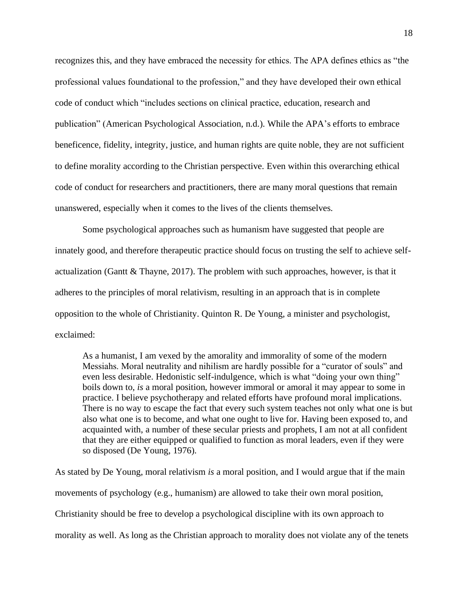recognizes this, and they have embraced the necessity for ethics. The APA defines ethics as "the professional values foundational to the profession," and they have developed their own ethical code of conduct which "includes sections on clinical practice, education, research and publication" (American Psychological Association, n.d.). While the APA's efforts to embrace beneficence, fidelity, integrity, justice, and human rights are quite noble, they are not sufficient to define morality according to the Christian perspective. Even within this overarching ethical code of conduct for researchers and practitioners, there are many moral questions that remain unanswered, especially when it comes to the lives of the clients themselves.

Some psychological approaches such as humanism have suggested that people are innately good, and therefore therapeutic practice should focus on trusting the self to achieve selfactualization (Gantt & Thayne, 2017). The problem with such approaches, however, is that it adheres to the principles of moral relativism, resulting in an approach that is in complete opposition to the whole of Christianity. Quinton R. De Young, a minister and psychologist, exclaimed:

As a humanist, I am vexed by the amorality and immorality of some of the modern Messiahs. Moral neutrality and nihilism are hardly possible for a "curator of souls" and even less desirable. Hedonistic self-indulgence, which is what "doing your own thing" boils down to, *is* a moral position, however immoral or amoral it may appear to some in practice. I believe psychotherapy and related efforts have profound moral implications. There is no way to escape the fact that every such system teaches not only what one is but also what one is to become, and what one ought to live for. Having been exposed to, and acquainted with, a number of these secular priests and prophets, I am not at all confident that they are either equipped or qualified to function as moral leaders, even if they were so disposed (De Young, 1976).

As stated by De Young, moral relativism *is* a moral position, and I would argue that if the main movements of psychology (e.g., humanism) are allowed to take their own moral position, Christianity should be free to develop a psychological discipline with its own approach to morality as well. As long as the Christian approach to morality does not violate any of the tenets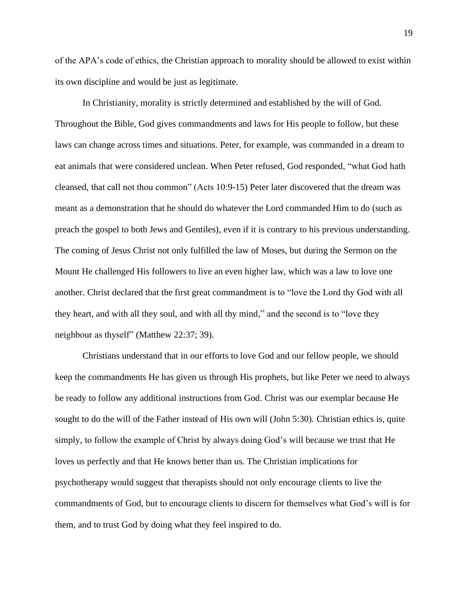of the APA's code of ethics, the Christian approach to morality should be allowed to exist within its own discipline and would be just as legitimate.

In Christianity, morality is strictly determined and established by the will of God. Throughout the Bible, God gives commandments and laws for His people to follow, but these laws can change across times and situations. Peter, for example, was commanded in a dream to eat animals that were considered unclean. When Peter refused, God responded, "what God hath cleansed, that call not thou common" (Acts 10:9-15) Peter later discovered that the dream was meant as a demonstration that he should do whatever the Lord commanded Him to do (such as preach the gospel to both Jews and Gentiles), even if it is contrary to his previous understanding. The coming of Jesus Christ not only fulfilled the law of Moses, but during the Sermon on the Mount He challenged His followers to live an even higher law, which was a law to love one another. Christ declared that the first great commandment is to "love the Lord thy God with all they heart, and with all they soul, and with all thy mind," and the second is to "love they neighbour as thyself" (Matthew 22:37; 39).

Christians understand that in our efforts to love God and our fellow people, we should keep the commandments He has given us through His prophets, but like Peter we need to always be ready to follow any additional instructions from God. Christ was our exemplar because He sought to do the will of the Father instead of His own will (John 5:30). Christian ethics is, quite simply, to follow the example of Christ by always doing God's will because we trust that He loves us perfectly and that He knows better than us. The Christian implications for psychotherapy would suggest that therapists should not only encourage clients to live the commandments of God, but to encourage clients to discern for themselves what God's will is for them, and to trust God by doing what they feel inspired to do.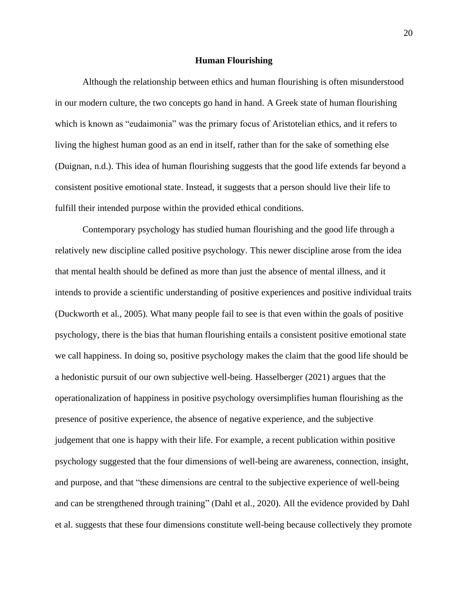#### **Human Flourishing**

Although the relationship between ethics and human flourishing is often misunderstood in our modern culture, the two concepts go hand in hand. A Greek state of human flourishing which is known as "eudaimonia" was the primary focus of Aristotelian ethics, and it refers to living the highest human good as an end in itself, rather than for the sake of something else (Duignan, n.d.). This idea of human flourishing suggests that the good life extends far beyond a consistent positive emotional state. Instead, it suggests that a person should live their life to fulfill their intended purpose within the provided ethical conditions.

Contemporary psychology has studied human flourishing and the good life through a relatively new discipline called positive psychology. This newer discipline arose from the idea that mental health should be defined as more than just the absence of mental illness, and it intends to provide a scientific understanding of positive experiences and positive individual traits (Duckworth et al., 2005). What many people fail to see is that even within the goals of positive psychology, there is the bias that human flourishing entails a consistent positive emotional state we call happiness. In doing so, positive psychology makes the claim that the good life should be a hedonistic pursuit of our own subjective well-being. Hasselberger (2021) argues that the operationalization of happiness in positive psychology oversimplifies human flourishing as the presence of positive experience, the absence of negative experience, and the subjective judgement that one is happy with their life. For example, a recent publication within positive psychology suggested that the four dimensions of well-being are awareness, connection, insight, and purpose, and that "these dimensions are central to the subjective experience of well-being and can be strengthened through training" (Dahl et al., 2020). All the evidence provided by Dahl et al. suggests that these four dimensions constitute well-being because collectively they promote

20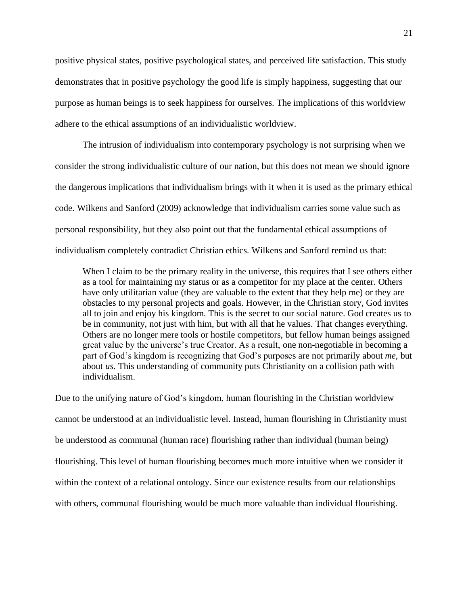positive physical states, positive psychological states, and perceived life satisfaction. This study demonstrates that in positive psychology the good life is simply happiness, suggesting that our purpose as human beings is to seek happiness for ourselves. The implications of this worldview adhere to the ethical assumptions of an individualistic worldview.

The intrusion of individualism into contemporary psychology is not surprising when we consider the strong individualistic culture of our nation, but this does not mean we should ignore the dangerous implications that individualism brings with it when it is used as the primary ethical code. Wilkens and Sanford (2009) acknowledge that individualism carries some value such as personal responsibility, but they also point out that the fundamental ethical assumptions of individualism completely contradict Christian ethics. Wilkens and Sanford remind us that:

When I claim to be the primary reality in the universe, this requires that I see others either as a tool for maintaining my status or as a competitor for my place at the center. Others have only utilitarian value (they are valuable to the extent that they help me) or they are obstacles to my personal projects and goals. However, in the Christian story, God invites all to join and enjoy his kingdom. This is the secret to our social nature. God creates us to be in community, not just with him, but with all that he values. That changes everything. Others are no longer mere tools or hostile competitors, but fellow human beings assigned great value by the universe's true Creator. As a result, one non-negotiable in becoming a part of God's kingdom is recognizing that God's purposes are not primarily about *me*, but about *us*. This understanding of community puts Christianity on a collision path with individualism.

Due to the unifying nature of God's kingdom, human flourishing in the Christian worldview cannot be understood at an individualistic level. Instead, human flourishing in Christianity must be understood as communal (human race) flourishing rather than individual (human being) flourishing. This level of human flourishing becomes much more intuitive when we consider it within the context of a relational ontology. Since our existence results from our relationships with others, communal flourishing would be much more valuable than individual flourishing.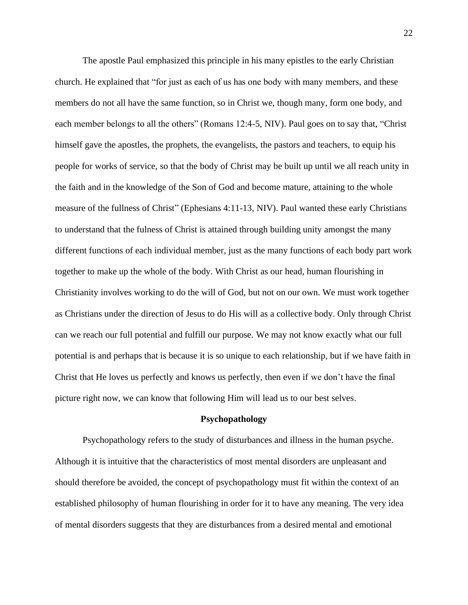The apostle Paul emphasized this principle in his many epistles to the early Christian church. He explained that "for just as each of us has one body with many members, and these members do not all have the same function, so in Christ we, though many, form one body, and each member belongs to all the others" (Romans 12:4-5, NIV). Paul goes on to say that, "Christ himself gave the apostles, the prophets, the evangelists, the pastors and teachers, to equip his people for works of service, so that the body of Christ may be built up until we all reach unity in the faith and in the knowledge of the Son of God and become mature, attaining to the whole measure of the fullness of Christ" (Ephesians 4:11-13, NIV). Paul wanted these early Christians to understand that the fulness of Christ is attained through building unity amongst the many different functions of each individual member, just as the many functions of each body part work together to make up the whole of the body. With Christ as our head, human flourishing in Christianity involves working to do the will of God, but not on our own. We must work together as Christians under the direction of Jesus to do His will as a collective body. Only through Christ can we reach our full potential and fulfill our purpose. We may not know exactly what our full potential is and perhaps that is because it is so unique to each relationship, but if we have faith in Christ that He loves us perfectly and knows us perfectly, then even if we don't have the final picture right now, we can know that following Him will lead us to our best selves.

# **Psychopathology**

Psychopathology refers to the study of disturbances and illness in the human psyche. Although it is intuitive that the characteristics of most mental disorders are unpleasant and should therefore be avoided, the concept of psychopathology must fit within the context of an established philosophy of human flourishing in order for it to have any meaning. The very idea of mental disorders suggests that they are disturbances from a desired mental and emotional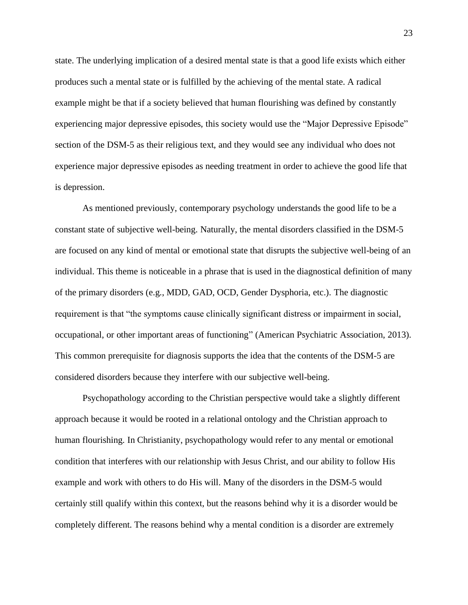state. The underlying implication of a desired mental state is that a good life exists which either produces such a mental state or is fulfilled by the achieving of the mental state. A radical example might be that if a society believed that human flourishing was defined by constantly experiencing major depressive episodes, this society would use the "Major Depressive Episode" section of the DSM-5 as their religious text, and they would see any individual who does not experience major depressive episodes as needing treatment in order to achieve the good life that is depression.

As mentioned previously, contemporary psychology understands the good life to be a constant state of subjective well-being. Naturally, the mental disorders classified in the DSM-5 are focused on any kind of mental or emotional state that disrupts the subjective well-being of an individual. This theme is noticeable in a phrase that is used in the diagnostical definition of many of the primary disorders (e.g., MDD, GAD, OCD, Gender Dysphoria, etc.). The diagnostic requirement is that "the symptoms cause clinically significant distress or impairment in social, occupational, or other important areas of functioning" (American Psychiatric Association, 2013). This common prerequisite for diagnosis supports the idea that the contents of the DSM-5 are considered disorders because they interfere with our subjective well-being.

Psychopathology according to the Christian perspective would take a slightly different approach because it would be rooted in a relational ontology and the Christian approach to human flourishing. In Christianity, psychopathology would refer to any mental or emotional condition that interferes with our relationship with Jesus Christ, and our ability to follow His example and work with others to do His will. Many of the disorders in the DSM-5 would certainly still qualify within this context, but the reasons behind why it is a disorder would be completely different. The reasons behind why a mental condition is a disorder are extremely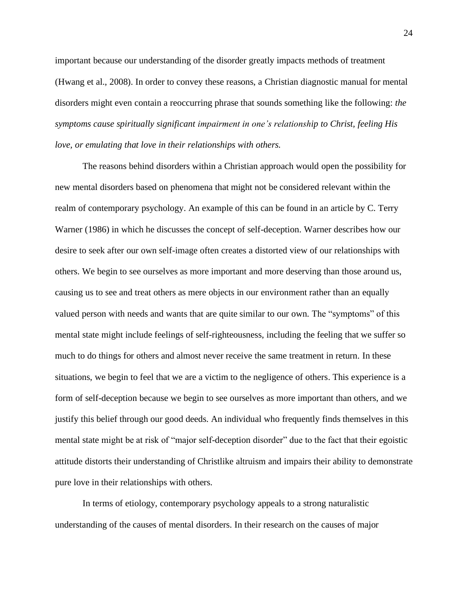important because our understanding of the disorder greatly impacts methods of treatment (Hwang et al., 2008). In order to convey these reasons, a Christian diagnostic manual for mental disorders might even contain a reoccurring phrase that sounds something like the following: *the symptoms cause spiritually significant impairment in one's relationship to Christ, feeling His love, or emulating that love in their relationships with others.*

The reasons behind disorders within a Christian approach would open the possibility for new mental disorders based on phenomena that might not be considered relevant within the realm of contemporary psychology. An example of this can be found in an article by C. Terry Warner (1986) in which he discusses the concept of self-deception. Warner describes how our desire to seek after our own self-image often creates a distorted view of our relationships with others. We begin to see ourselves as more important and more deserving than those around us, causing us to see and treat others as mere objects in our environment rather than an equally valued person with needs and wants that are quite similar to our own. The "symptoms" of this mental state might include feelings of self-righteousness, including the feeling that we suffer so much to do things for others and almost never receive the same treatment in return. In these situations, we begin to feel that we are a victim to the negligence of others. This experience is a form of self-deception because we begin to see ourselves as more important than others, and we justify this belief through our good deeds. An individual who frequently finds themselves in this mental state might be at risk of "major self-deception disorder" due to the fact that their egoistic attitude distorts their understanding of Christlike altruism and impairs their ability to demonstrate pure love in their relationships with others.

In terms of etiology, contemporary psychology appeals to a strong naturalistic understanding of the causes of mental disorders. In their research on the causes of major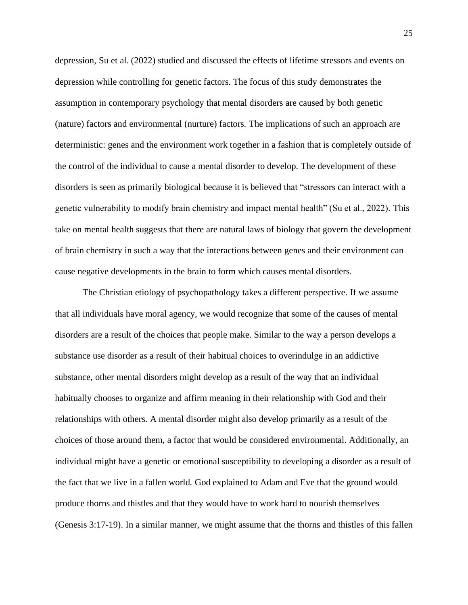depression, Su et al. (2022) studied and discussed the effects of lifetime stressors and events on depression while controlling for genetic factors. The focus of this study demonstrates the assumption in contemporary psychology that mental disorders are caused by both genetic (nature) factors and environmental (nurture) factors. The implications of such an approach are deterministic: genes and the environment work together in a fashion that is completely outside of the control of the individual to cause a mental disorder to develop. The development of these disorders is seen as primarily biological because it is believed that "stressors can interact with a genetic vulnerability to modify brain chemistry and impact mental health" (Su et al., 2022). This take on mental health suggests that there are natural laws of biology that govern the development of brain chemistry in such a way that the interactions between genes and their environment can cause negative developments in the brain to form which causes mental disorders.

The Christian etiology of psychopathology takes a different perspective. If we assume that all individuals have moral agency, we would recognize that some of the causes of mental disorders are a result of the choices that people make. Similar to the way a person develops a substance use disorder as a result of their habitual choices to overindulge in an addictive substance, other mental disorders might develop as a result of the way that an individual habitually chooses to organize and affirm meaning in their relationship with God and their relationships with others. A mental disorder might also develop primarily as a result of the choices of those around them, a factor that would be considered environmental. Additionally, an individual might have a genetic or emotional susceptibility to developing a disorder as a result of the fact that we live in a fallen world. God explained to Adam and Eve that the ground would produce thorns and thistles and that they would have to work hard to nourish themselves (Genesis 3:17-19). In a similar manner, we might assume that the thorns and thistles of this fallen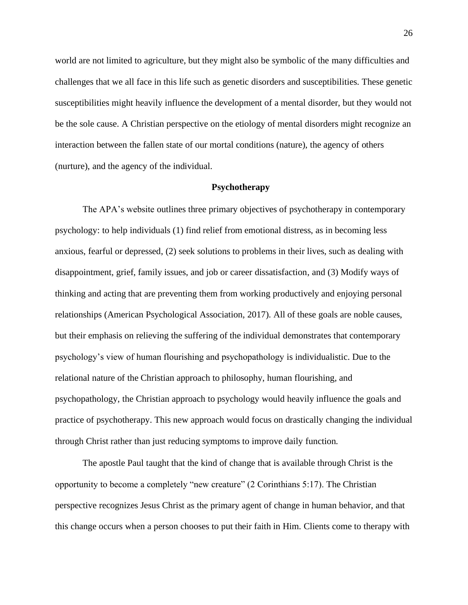world are not limited to agriculture, but they might also be symbolic of the many difficulties and challenges that we all face in this life such as genetic disorders and susceptibilities. These genetic susceptibilities might heavily influence the development of a mental disorder, but they would not be the sole cause. A Christian perspective on the etiology of mental disorders might recognize an interaction between the fallen state of our mortal conditions (nature), the agency of others (nurture), and the agency of the individual.

# **Psychotherapy**

The APA's website outlines three primary objectives of psychotherapy in contemporary psychology: to help individuals (1) find relief from emotional distress, as in becoming less anxious, fearful or depressed, (2) seek solutions to problems in their lives, such as dealing with disappointment, grief, family issues, and job or career dissatisfaction, and (3) Modify ways of thinking and acting that are preventing them from working productively and enjoying personal relationships (American Psychological Association, 2017). All of these goals are noble causes, but their emphasis on relieving the suffering of the individual demonstrates that contemporary psychology's view of human flourishing and psychopathology is individualistic. Due to the relational nature of the Christian approach to philosophy, human flourishing, and psychopathology, the Christian approach to psychology would heavily influence the goals and practice of psychotherapy. This new approach would focus on drastically changing the individual through Christ rather than just reducing symptoms to improve daily function.

The apostle Paul taught that the kind of change that is available through Christ is the opportunity to become a completely "new creature" (2 Corinthians 5:17). The Christian perspective recognizes Jesus Christ as the primary agent of change in human behavior, and that this change occurs when a person chooses to put their faith in Him. Clients come to therapy with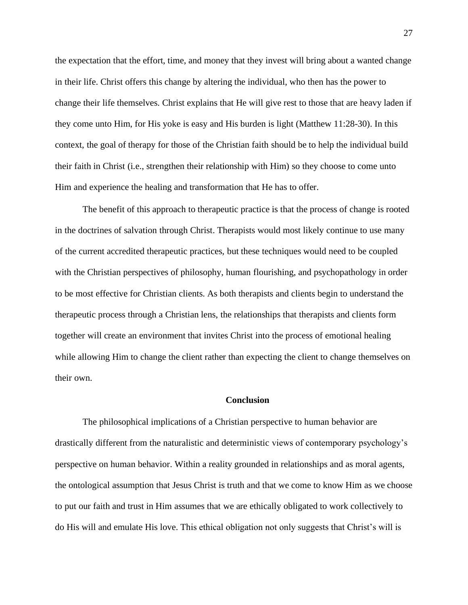the expectation that the effort, time, and money that they invest will bring about a wanted change in their life. Christ offers this change by altering the individual, who then has the power to change their life themselves. Christ explains that He will give rest to those that are heavy laden if they come unto Him, for His yoke is easy and His burden is light (Matthew 11:28-30). In this context, the goal of therapy for those of the Christian faith should be to help the individual build their faith in Christ (i.e., strengthen their relationship with Him) so they choose to come unto Him and experience the healing and transformation that He has to offer.

The benefit of this approach to therapeutic practice is that the process of change is rooted in the doctrines of salvation through Christ. Therapists would most likely continue to use many of the current accredited therapeutic practices, but these techniques would need to be coupled with the Christian perspectives of philosophy, human flourishing, and psychopathology in order to be most effective for Christian clients. As both therapists and clients begin to understand the therapeutic process through a Christian lens, the relationships that therapists and clients form together will create an environment that invites Christ into the process of emotional healing while allowing Him to change the client rather than expecting the client to change themselves on their own.

# **Conclusion**

The philosophical implications of a Christian perspective to human behavior are drastically different from the naturalistic and deterministic views of contemporary psychology's perspective on human behavior. Within a reality grounded in relationships and as moral agents, the ontological assumption that Jesus Christ is truth and that we come to know Him as we choose to put our faith and trust in Him assumes that we are ethically obligated to work collectively to do His will and emulate His love. This ethical obligation not only suggests that Christ's will is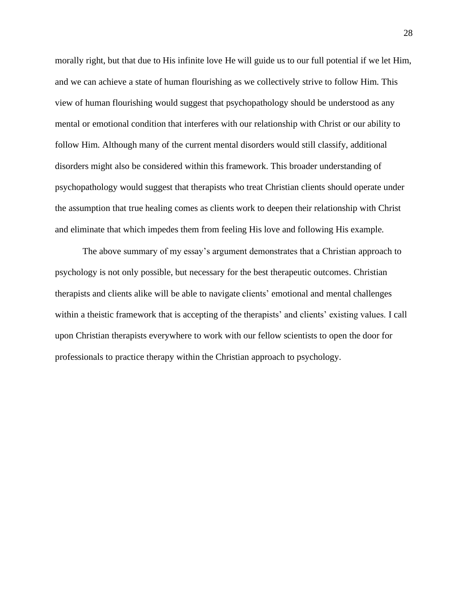morally right, but that due to His infinite love He will guide us to our full potential if we let Him, and we can achieve a state of human flourishing as we collectively strive to follow Him. This view of human flourishing would suggest that psychopathology should be understood as any mental or emotional condition that interferes with our relationship with Christ or our ability to follow Him. Although many of the current mental disorders would still classify, additional disorders might also be considered within this framework. This broader understanding of psychopathology would suggest that therapists who treat Christian clients should operate under the assumption that true healing comes as clients work to deepen their relationship with Christ and eliminate that which impedes them from feeling His love and following His example.

The above summary of my essay's argument demonstrates that a Christian approach to psychology is not only possible, but necessary for the best therapeutic outcomes. Christian therapists and clients alike will be able to navigate clients' emotional and mental challenges within a theistic framework that is accepting of the therapists' and clients' existing values. I call upon Christian therapists everywhere to work with our fellow scientists to open the door for professionals to practice therapy within the Christian approach to psychology.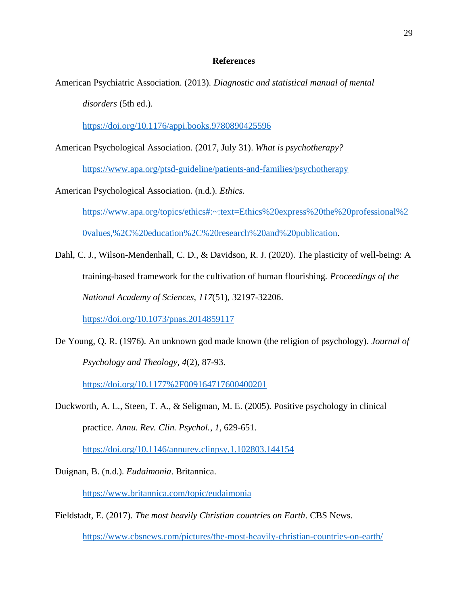# **References**

American Psychiatric Association. (2013). *Diagnostic and statistical manual of mental* 

*disorders* (5th ed.).

<https://doi.org/10.1176/appi.books.9780890425596>

American Psychological Association. (2017, July 31). *What is psychotherapy?* 

<https://www.apa.org/ptsd-guideline/patients-and-families/psychotherapy>

American Psychological Association. (n.d.). *Ethics*.

[https://www.apa.org/topics/ethics#:~:text=Ethics%20express%20the%20professional%2](https://www.apa.org/topics/ethics#:~:text=Ethics%20express%20the%20professional%20values,%2C%20education%2C%20research%20and%20publication) [0values,%2C%20education%2C%20research%20and%20publication.](https://www.apa.org/topics/ethics#:~:text=Ethics%20express%20the%20professional%20values,%2C%20education%2C%20research%20and%20publication)

Dahl, C. J., Wilson-Mendenhall, C. D., & Davidson, R. J. (2020). The plasticity of well-being: A training-based framework for the cultivation of human flourishing. *Proceedings of the National Academy of Sciences*, *117*(51), 32197-32206.

<https://doi.org/10.1073/pnas.2014859117>

De Young, Q. R. (1976). An unknown god made known (the religion of psychology). *Journal of Psychology and Theology*, *4*(2), 87-93.

<https://doi.org/10.1177%2F009164717600400201>

Duckworth, A. L., Steen, T. A., & Seligman, M. E. (2005). Positive psychology in clinical practice. *Annu. Rev. Clin. Psychol.*, *1*, 629-651.

<https://doi.org/10.1146/annurev.clinpsy.1.102803.144154>

Duignan, B. (n.d.). *Eudaimonia*. Britannica.

<https://www.britannica.com/topic/eudaimonia>

Fieldstadt, E. (2017). *The most heavily Christian countries on Earth*. CBS News. <https://www.cbsnews.com/pictures/the-most-heavily-christian-countries-on-earth/>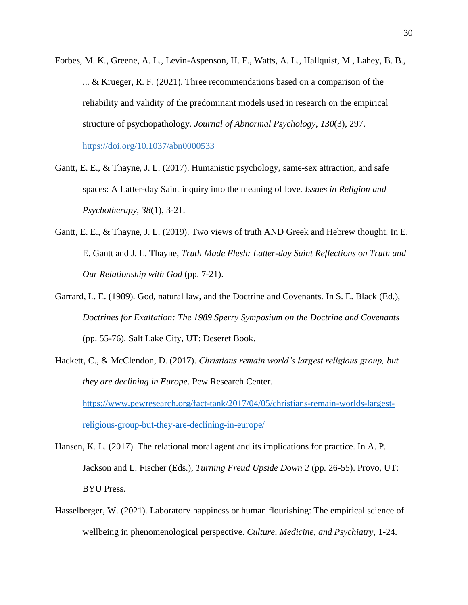- Forbes, M. K., Greene, A. L., Levin-Aspenson, H. F., Watts, A. L., Hallquist, M., Lahey, B. B., ... & Krueger, R. F. (2021). Three recommendations based on a comparison of the reliability and validity of the predominant models used in research on the empirical structure of psychopathology. *Journal of Abnormal Psychology*, *130*(3), 297. [https://doi.org/10.1037/abn0000533](https://psycnet.apa.org/doi/10.1037/abn0000533)
- Gantt, E. E., & Thayne, J. L. (2017). Humanistic psychology, same-sex attraction, and safe spaces: A Latter-day Saint inquiry into the meaning of love*. Issues in Religion and Psychotherapy*, *38*(1), 3-21.
- Gantt, E. E., & Thayne, J. L. (2019). Two views of truth AND Greek and Hebrew thought. In E. E. Gantt and J. L. Thayne, *Truth Made Flesh: Latter-day Saint Reflections on Truth and Our Relationship with God* (pp. 7-21).
- Garrard, L. E. (1989). God, natural law, and the Doctrine and Covenants. In S. E. Black (Ed.), *Doctrines for Exaltation: The 1989 Sperry Symposium on the Doctrine and Covenants* (pp. 55-76). Salt Lake City, UT: Deseret Book.
- Hackett, C., & McClendon, D. (2017). *Christians remain world's largest religious group, but they are declining in Europe*. Pew Research Center. [https://www.pewresearch.org/fact-tank/2017/04/05/christians-remain-worlds-largest](https://www.pewresearch.org/fact-tank/2017/04/05/christians-remain-worlds-largest-religious-group-but-they-are-declining-in-europe/)[religious-group-but-they-are-declining-in-europe/](https://www.pewresearch.org/fact-tank/2017/04/05/christians-remain-worlds-largest-religious-group-but-they-are-declining-in-europe/)
- Hansen, K. L. (2017). The relational moral agent and its implications for practice. In A. P. Jackson and L. Fischer (Eds.), *Turning Freud Upside Down 2* (pp. 26-55). Provo, UT: BYU Press.
- Hasselberger, W. (2021). Laboratory happiness or human flourishing: The empirical science of wellbeing in phenomenological perspective. *Culture, Medicine, and Psychiatry*, 1-24.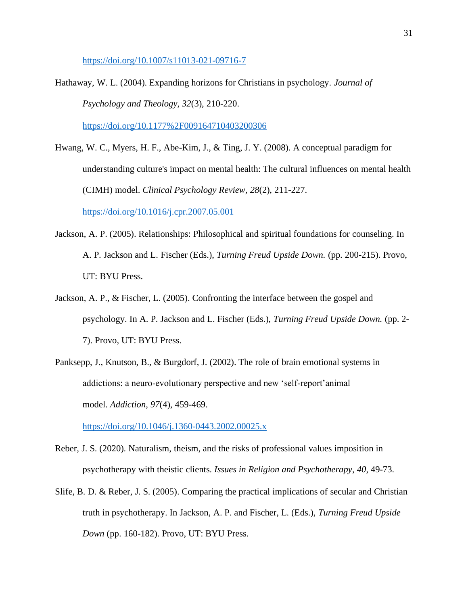<https://doi.org/10.1007/s11013-021-09716-7>

Hathaway, W. L. (2004). Expanding horizons for Christians in psychology. *Journal of Psychology and Theology*, *32*(3), 210-220.

<https://doi.org/10.1177%2F009164710403200306>

Hwang, W. C., Myers, H. F., Abe-Kim, J., & Ting, J. Y. (2008). A conceptual paradigm for understanding culture's impact on mental health: The cultural influences on mental health (CIMH) model. *Clinical Psychology Review*, *28*(2), 211-227.

<https://doi.org/10.1016/j.cpr.2007.05.001>

- Jackson, A. P. (2005). Relationships: Philosophical and spiritual foundations for counseling. In A. P. Jackson and L. Fischer (Eds.), *Turning Freud Upside Down.* (pp. 200-215). Provo, UT: BYU Press.
- Jackson, A. P., & Fischer, L. (2005). Confronting the interface between the gospel and psychology. In A. P. Jackson and L. Fischer (Eds.), *Turning Freud Upside Down.* (pp. 2- 7). Provo, UT: BYU Press.
- Panksepp, J., Knutson, B., & Burgdorf, J. (2002). The role of brain emotional systems in addictions: a neuro‐evolutionary perspective and new 'self‐report'animal model. *Addiction*, *97*(4), 459-469.

<https://doi.org/10.1046/j.1360-0443.2002.00025.x>

- Reber, J. S. (2020). Naturalism, theism, and the risks of professional values imposition in psychotherapy with theistic clients. *Issues in Religion and Psychotherapy*, *40*, 49-73.
- Slife, B. D. & Reber, J. S. (2005). Comparing the practical implications of secular and Christian truth in psychotherapy. In Jackson, A. P. and Fischer, L. (Eds.), *Turning Freud Upside Down* (pp. 160-182). Provo, UT: BYU Press.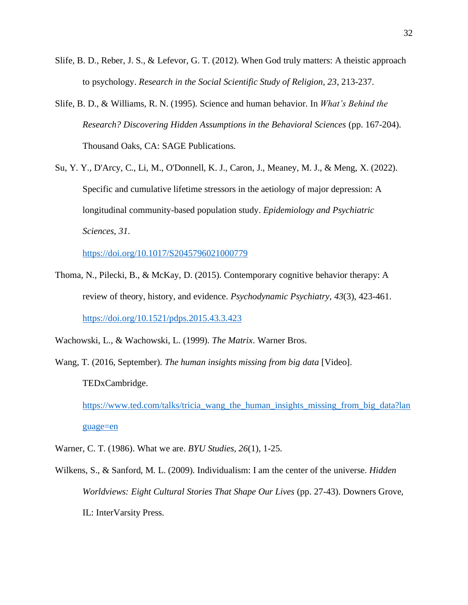- Slife, B. D., Reber, J. S., & Lefevor, G. T. (2012). When God truly matters: A theistic approach to psychology. *Research in the Social Scientific Study of Religion, 23*, 213-237.
- Slife, B. D., & Williams, R. N. (1995). Science and human behavior. In *What's Behind the Research? Discovering Hidden Assumptions in the Behavioral Sciences* (pp. 167-204). Thousand Oaks, CA: SAGE Publications.
- Su, Y. Y., D'Arcy, C., Li, M., O'Donnell, K. J., Caron, J., Meaney, M. J., & Meng, X. (2022). Specific and cumulative lifetime stressors in the aetiology of major depression: A longitudinal community-based population study. *Epidemiology and Psychiatric Sciences*, *31*.

<https://doi.org/10.1017/S2045796021000779>

Thoma, N., Pilecki, B., & McKay, D. (2015). Contemporary cognitive behavior therapy: A review of theory, history, and evidence. *Psychodynamic Psychiatry*, *43*(3), 423-461. <https://doi.org/10.1521/pdps.2015.43.3.423>

Wachowski, L., & Wachowski, L. (1999). *The Matrix*. Warner Bros.

Wang, T. (2016, September). *The human insights missing from big data* [Video]. TEDxCambridge.

[https://www.ted.com/talks/tricia\\_wang\\_the\\_human\\_insights\\_missing\\_from\\_big\\_data?lan](https://www.ted.com/talks/tricia_wang_the_human_insights_missing_from_big_data?language=en) [guage=en](https://www.ted.com/talks/tricia_wang_the_human_insights_missing_from_big_data?language=en)

- Warner, C. T. (1986). What we are. *BYU Studies, 26*(1), 1-25.
- Wilkens, S., & Sanford, M. L. (2009). Individualism: I am the center of the universe. *Hidden Worldviews: Eight Cultural Stories That Shape Our Lives* (pp. 27-43). Downers Grove, IL: InterVarsity Press.